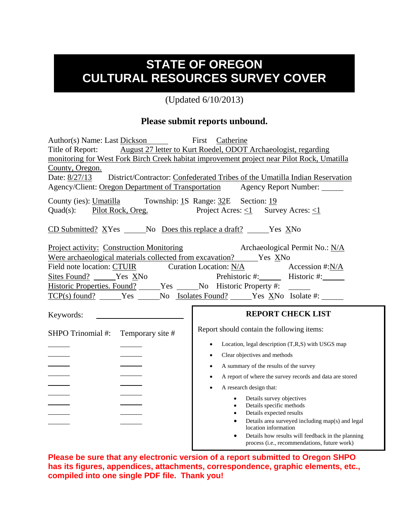## **STATE OF OREGON CULTURAL RESOURCES SURVEY COVER**

(Updated 6/10/2013)

## **Please submit reports unbound.**

| Author(s) Name: Last Dickson First Catherine<br>Title of Report:<br>County, Oregon.<br>Date: 8/27/13<br>Agency/Client: Oregon Department of Transportation                                  | August 27 letter to Kurt Roedel, ODOT Archaeologist, regarding<br>monitoring for West Fork Birch Creek habitat improvement project near Pilot Rock, Umatilla<br>District/Contractor: Confederated Tribes of the Umatilla Indian Reservation<br>Agency Report Number:                                                                                                                                                                                                                                                                                                                                                                                        |
|---------------------------------------------------------------------------------------------------------------------------------------------------------------------------------------------|-------------------------------------------------------------------------------------------------------------------------------------------------------------------------------------------------------------------------------------------------------------------------------------------------------------------------------------------------------------------------------------------------------------------------------------------------------------------------------------------------------------------------------------------------------------------------------------------------------------------------------------------------------------|
| County (ies): Umatilla Township: 1S Range: 32E Section: 19<br>Pilot Rock, Oreg.<br>$Quad(s)$ :                                                                                              | Project Acres: $\leq 1$ Survey Acres: $\leq 1$                                                                                                                                                                                                                                                                                                                                                                                                                                                                                                                                                                                                              |
| $\underline{\text{CD} \text{ Submitted?}}$ $\underline{\text{X}}\text{Yes}$ No Does this replace a draft? _______Yes $\underline{\text{X}}\text{No}$                                        |                                                                                                                                                                                                                                                                                                                                                                                                                                                                                                                                                                                                                                                             |
| <b>Project activity: Construction Monitoring</b><br>Field note location: CTUIR<br>Sites Found? ______Yes XNo<br>Historic Properties. Found? ______Yes ______No Historic Property #: _______ | Archaeological Permit No.: N/A<br>Curation Location: N/A<br>Accession #:N/A<br>Prehistoric #: Historic #:                                                                                                                                                                                                                                                                                                                                                                                                                                                                                                                                                   |
| Keywords:                                                                                                                                                                                   | <b>REPORT CHECK LIST</b>                                                                                                                                                                                                                                                                                                                                                                                                                                                                                                                                                                                                                                    |
| SHPO Trinomial #:<br>Temporary site #                                                                                                                                                       | Report should contain the following items:<br>Location, legal description (T,R,S) with USGS map<br>Clear objectives and methods<br>$\bullet$<br>A summary of the results of the survey<br>$\bullet$<br>A report of where the survey records and data are stored<br>$\bullet$<br>A research design that:<br>$\bullet$<br>Details survey objectives<br>$\bullet$<br>Details specific methods<br>$\bullet$<br>Details expected results<br>$\bullet$<br>Details area surveyed including map(s) and legal<br>$\bullet$<br>location information<br>Details how results will feedback in the planning<br>$\bullet$<br>process (i.e., recommendations, future work) |

**Please be sure that any electronic version of a report submitted to Oregon SHPO has its figures, appendices, attachments, correspondence, graphic elements, etc., compiled into one single PDF file. Thank you!**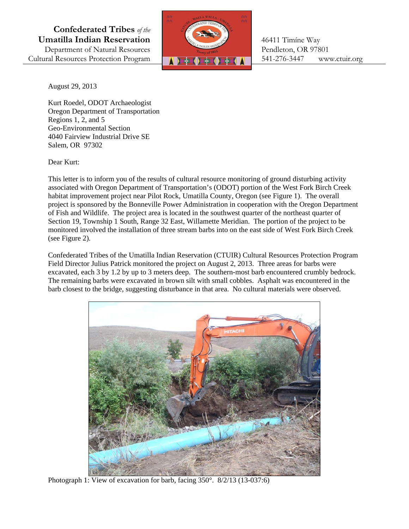**Confederated Tribes** *of the*  **Umatilla Indian Reservation | 1999 | 16411 Timíne Way** Department of Natural Resources Pendleton, OR 97801



August 29, 2013

 Regions 1, 2, and 5 Kurt Roedel, ODOT Archaeologist Oregon Department of Transportation Geo-Environmental Section 4040 Fairview Industrial Drive SE Salem, OR 97302

Dear Kurt:

This letter is to inform you of the results of cultural resource monitoring of ground disturbing activity associated with Oregon Department of Transportation's (ODOT) portion of the West Fork Birch Creek habitat improvement project near Pilot Rock, Umatilla County, Oregon (see Figure 1). The overall project is sponsored by the Bonneville Power Administration in cooperation with the Oregon Department of Fish and Wildlife. The project area is located in the southwest quarter of the northeast quarter of Section 19, Township 1 South, Range 32 East, Willamette Meridian. The portion of the project to be monitored involved the installation of three stream barbs into on the east side of West Fork Birch Creek (see Figure 2).

Confederated Tribes of the Umatilla Indian Reservation (CTUIR) Cultural Resources Protection Program Field Director Julius Patrick monitored the project on August 2, 2013. Three areas for barbs were excavated, each 3 by 1.2 by up to 3 meters deep. The southern-most barb encountered crumbly bedrock. The remaining barbs were excavated in brown silt with small cobbles. Asphalt was encountered in the barb closest to the bridge, suggesting disturbance in that area. No cultural materials were observed.



Photograph 1: View of excavation for barb, facing 350°. 8/2/13 (13-037:6)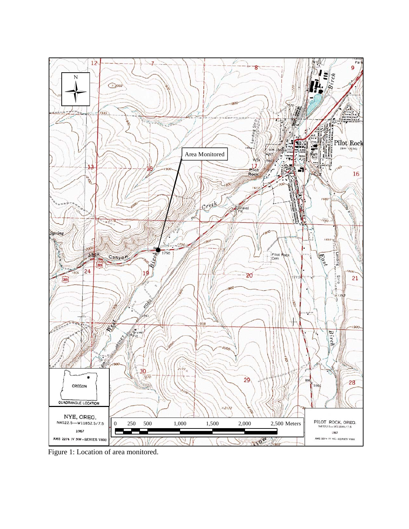

Figure 1: Location of area monitored.